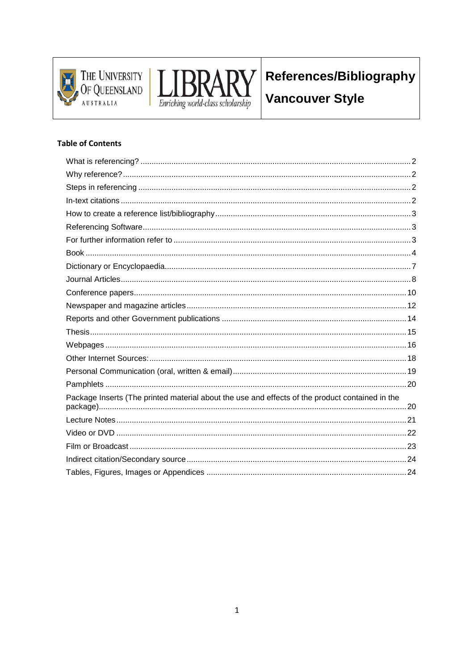



# References/Bibliography

**Vancouver Style** 

#### **Table of Contents**

| Package Inserts (The printed material about the use and effects of the product contained in the |  |
|-------------------------------------------------------------------------------------------------|--|
|                                                                                                 |  |
|                                                                                                 |  |
|                                                                                                 |  |
|                                                                                                 |  |
|                                                                                                 |  |
|                                                                                                 |  |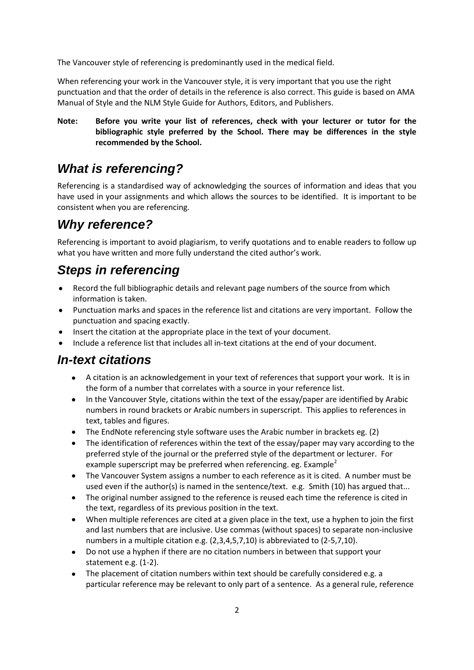The Vancouver style of referencing is predominantly used in the medical field.

When referencing your work in the Vancouver style, it is very important that you use the right punctuation and that the order of details in the reference is also correct. This guide is based on AMA Manual of Style and the NLM Style Guide for Authors, Editors, and Publishers.

**Note: Before you write your list of references, check with your lecturer or tutor for the bibliographic style preferred by the School. There may be differences in the style recommended by the School.**

### <span id="page-1-0"></span>*What is referencing?*

Referencing is a standardised way of acknowledging the sources of information and ideas that you have used in your assignments and which allows the sources to be identified. It is important to be consistent when you are referencing.

## <span id="page-1-1"></span>*Why reference?*

Referencing is important to avoid plagiarism, to verify quotations and to enable readers to follow up what you have written and more fully understand the cited author's work.

## <span id="page-1-2"></span>*Steps in referencing*

- Record the full bibliographic details and relevant page numbers of the source from which  $\bullet$ information is taken.
- Punctuation marks and spaces in the reference list and citations are very important. Follow the punctuation and spacing exactly.
- Insert the citation at the appropriate place in the text of your document.
- Include a reference list that includes all in-text citations at the end of your document.

### <span id="page-1-3"></span>*In-text citations*

- A citation is an acknowledgement in your text of references that support your work. It is in the form of a number that correlates with a source in your reference list.
- $\bullet$ In the Vancouver Style, citations within the text of the essay/paper are identified by Arabic numbers in round brackets or Arabic numbers in superscript. This applies to references in text, tables and figures.
- The EndNote referencing style software uses the Arabic number in brackets eg. (2)
- $\bullet$ The identification of references within the text of the essay/paper may vary according to the preferred style of the journal or the preferred style of the department or lecturer. For example superscript may be preferred when referencing. eg. Example<sup>2</sup>
- The Vancouver System assigns a number to each reference as it is cited. A number must be used even if the author(s) is named in the sentence/text. e.g. Smith (10) has argued that...
- The original number assigned to the reference is reused each time the reference is cited in the text, regardless of its previous position in the text.
- When multiple references are cited at a given place in the text, use a hyphen to join the first  $\bullet$ and last numbers that are inclusive. Use commas (without spaces) to separate non-inclusive numbers in a multiple citation e.g. (2,3,4,5,7,10) is abbreviated to (2-5,7,10).
- Do not use a hyphen if there are no citation numbers in between that support your  $\bullet$ statement e.g. (1-2).
- The placement of citation numbers within text should be carefully considered e.g. a  $\bullet$ particular reference may be relevant to only part of a sentence. As a general rule, reference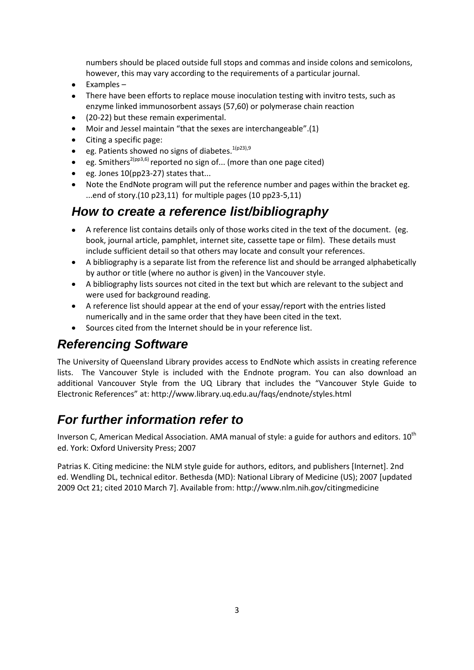numbers should be placed outside full stops and commas and inside colons and semicolons, however, this may vary according to the requirements of a particular journal.

- Examples  $\bullet$
- There have been efforts to replace mouse inoculation testing with invitro tests, such as enzyme linked immunosorbent assays (57,60) or polymerase chain reaction
- (20-22) but these remain experimental.  $\bullet$
- Moir and Jessel maintain "that the sexes are interchangeable".(1)  $\bullet$
- $\bullet$ Citing a specific page:
- eg. Patients showed no signs of diabetes.  $1(p23),9$  $\bullet$
- eg. Smithers<sup>2(pp3,6)</sup> reported no sign of... (more than one page cited)  $\bullet$
- eg. Jones 10(pp23-27) states that...  $\bullet$
- Note the EndNote program will put the reference number and pages within the bracket eg. ...end of story.(10 p23,11) for multiple pages (10 pp23-5,11)

### <span id="page-2-0"></span>*How to create a reference list/bibliography*

- A reference list contains details only of those works cited in the text of the document. (eg. book, journal article, pamphlet, internet site, cassette tape or film). These details must include sufficient detail so that others may locate and consult your references.
- A bibliography is a separate list from the reference list and should be arranged alphabetically by author or title (where no author is given) in the Vancouver style.
- A bibliography lists sources not cited in the text but which are relevant to the subject and were used for background reading.
- $\bullet$ A reference list should appear at the end of your essay/report with the entries listed numerically and in the same order that they have been cited in the text.
- Sources cited from the Internet should be in your reference list.

### <span id="page-2-1"></span>*Referencing Software*

The University of Queensland Library provides access to EndNote which assists in creating reference lists. The Vancouver Style is included with the Endnote program. You can also download an additional Vancouver Style from the UQ Library that includes the "Vancouver Style Guide to Electronic References" at: <http://www.library.uq.edu.au/faqs/endnote/styles.html>

## <span id="page-2-2"></span>*For further information refer to*

Inverson C, American Medical Association. AMA manual of style: a guide for authors and editors.  $10^{th}$ ed. York: Oxford University Press; 2007

Patrias K. Citing medicine: the NLM style guide for authors, editors, and publishers [Internet]. 2nd ed. Wendling DL, technical editor. Bethesda (MD): National Library of Medicine (US); 2007 [updated 2009 Oct 21; cited 2010 March 7]. Available from:<http://www.nlm.nih.gov/citingmedicine>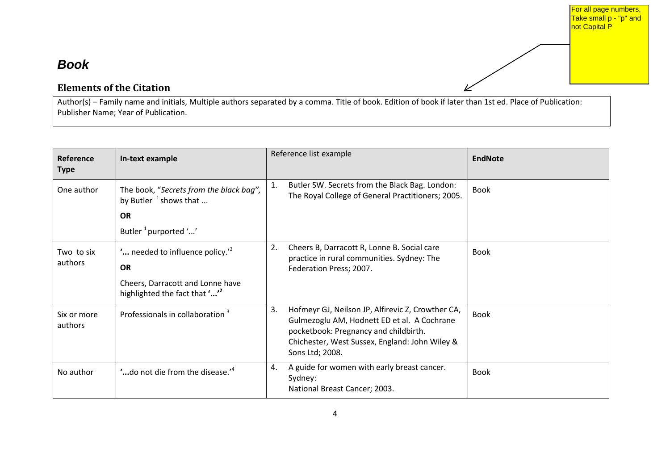#### For all page numbers, Take small p - "p" and not Capital P

### *Book*

### **Elements of the Citation**

Author(s) – Family name and initials, Multiple authors separated by a comma. Title of book. Edition of book if later than 1st ed. Place of Publication: Publisher Name; Year of Publication.

<span id="page-3-0"></span>

| Reference<br><b>Type</b> | In-text example                                                      |    | Reference list example                                                                                                                                                                                         | <b>EndNote</b> |
|--------------------------|----------------------------------------------------------------------|----|----------------------------------------------------------------------------------------------------------------------------------------------------------------------------------------------------------------|----------------|
| One author               | The book, "Secrets from the black bag",<br>by Butler $^1$ shows that | 1. | Butler SW. Secrets from the Black Bag. London:<br>The Royal College of General Practitioners; 2005.                                                                                                            | <b>Book</b>    |
|                          | <b>OR</b>                                                            |    |                                                                                                                                                                                                                |                |
|                          | Butler <sup>1</sup> purported ''                                     |    |                                                                                                                                                                                                                |                |
| Two to six<br>authors    | " needed to influence policy."<br><b>OR</b>                          | 2. | Cheers B, Darracott R, Lonne B. Social care<br>practice in rural communities. Sydney: The<br>Federation Press; 2007.                                                                                           | <b>Book</b>    |
|                          | Cheers, Darracott and Lonne have<br>highlighted the fact that ""     |    |                                                                                                                                                                                                                |                |
| Six or more<br>authors   | Professionals in collaboration 3                                     | 3. | Hofmeyr GJ, Neilson JP, Alfirevic Z, Crowther CA,<br>Gulmezoglu AM, Hodnett ED et al. A Cochrane<br>pocketbook: Pregnancy and childbirth.<br>Chichester, West Sussex, England: John Wiley &<br>Sons Ltd; 2008. | <b>Book</b>    |
| No author                | "do not die from the disease."                                       | 4. | A guide for women with early breast cancer.<br>Sydney:<br>National Breast Cancer; 2003.                                                                                                                        | <b>Book</b>    |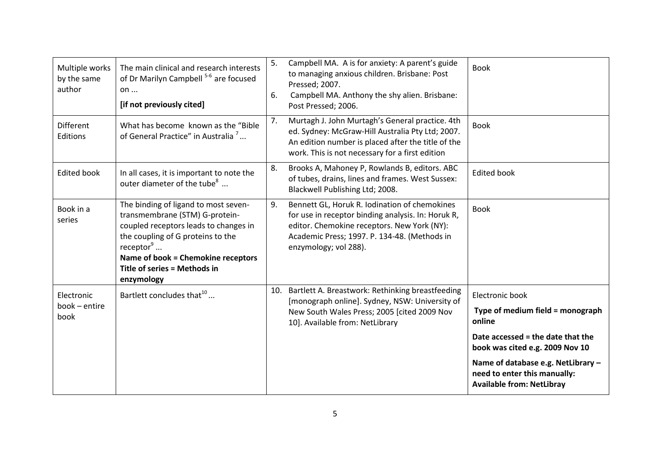| Multiple works<br>by the same<br>author | The main clinical and research interests<br>of Dr Marilyn Campbell <sup>5-6</sup> are focused<br>on<br>[if not previously cited]                                                                                                                               | 5.<br>6. | Campbell MA. A is for anxiety: A parent's guide<br>to managing anxious children. Brisbane: Post<br>Pressed; 2007.<br>Campbell MA. Anthony the shy alien. Brisbane:<br>Post Pressed; 2006.                                   | <b>Book</b>                                                                                            |
|-----------------------------------------|----------------------------------------------------------------------------------------------------------------------------------------------------------------------------------------------------------------------------------------------------------------|----------|-----------------------------------------------------------------------------------------------------------------------------------------------------------------------------------------------------------------------------|--------------------------------------------------------------------------------------------------------|
| <b>Different</b><br>Editions            | What has become known as the "Bible<br>of General Practice" in Australia <sup>7</sup>                                                                                                                                                                          | 7.       | Murtagh J. John Murtagh's General practice. 4th<br>ed. Sydney: McGraw-Hill Australia Pty Ltd; 2007.<br>An edition number is placed after the title of the<br>work. This is not necessary for a first edition                | <b>Book</b>                                                                                            |
| <b>Edited book</b>                      | In all cases, it is important to note the<br>outer diameter of the tube <sup>8</sup>                                                                                                                                                                           | 8.       | Brooks A, Mahoney P, Rowlands B, editors. ABC<br>of tubes, drains, lines and frames. West Sussex:<br>Blackwell Publishing Ltd; 2008.                                                                                        | <b>Edited book</b>                                                                                     |
| Book in a<br>series                     | The binding of ligand to most seven-<br>transmembrane (STM) G-protein-<br>coupled receptors leads to changes in<br>the coupling of G proteins to the<br>receptor $\degree$<br>Name of book = Chemokine receptors<br>Title of series = Methods in<br>enzymology | 9.       | Bennett GL, Horuk R. Iodination of chemokines<br>for use in receptor binding analysis. In: Horuk R,<br>editor. Chemokine receptors. New York (NY):<br>Academic Press; 1997. P. 134-48. (Methods in<br>enzymology; vol 288). | <b>Book</b>                                                                                            |
| Electronic<br>book - entire<br>book     | Bartlett concludes that <sup>10</sup>                                                                                                                                                                                                                          | 10.      | Bartlett A. Breastwork: Rethinking breastfeeding<br>[monograph online]. Sydney, NSW: University of<br>New South Wales Press; 2005 [cited 2009 Nov<br>10]. Available from: NetLibrary                                        | Electronic book<br>Type of medium field = monograph<br>online                                          |
|                                         |                                                                                                                                                                                                                                                                |          |                                                                                                                                                                                                                             | Date accessed = the date that the<br>book was cited e.g. 2009 Nov 10                                   |
|                                         |                                                                                                                                                                                                                                                                |          |                                                                                                                                                                                                                             | Name of database e.g. NetLibrary -<br>need to enter this manually:<br><b>Available from: NetLibray</b> |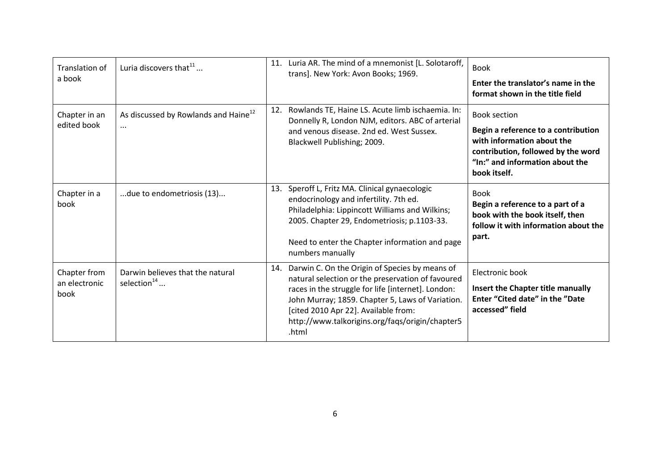| Translation of<br>a book              | Luria discovers that $^{11}$                                 | 11. | Luria AR. The mind of a mnemonist [L. Solotaroff,<br>trans]. New York: Avon Books; 1969.                                                                                                                                                                                                                          | <b>Book</b><br>Enter the translator's name in the<br>format shown in the title field                                                                                              |
|---------------------------------------|--------------------------------------------------------------|-----|-------------------------------------------------------------------------------------------------------------------------------------------------------------------------------------------------------------------------------------------------------------------------------------------------------------------|-----------------------------------------------------------------------------------------------------------------------------------------------------------------------------------|
| Chapter in an<br>edited book          | As discussed by Rowlands and Haine <sup>12</sup><br>$\cdots$ | 12. | Rowlands TE, Haine LS. Acute limb ischaemia. In:<br>Donnelly R, London NJM, editors. ABC of arterial<br>and venous disease. 2nd ed. West Sussex.<br>Blackwell Publishing; 2009.                                                                                                                                   | <b>Book section</b><br>Begin a reference to a contribution<br>with information about the<br>contribution, followed by the word<br>"In:" and information about the<br>book itself. |
| Chapter in a<br>book                  | due to endometriosis (13)                                    | 13. | Speroff L, Fritz MA. Clinical gynaecologic<br>endocrinology and infertility. 7th ed.<br>Philadelphia: Lippincott Williams and Wilkins;<br>2005. Chapter 29, Endometriosis; p.1103-33.<br>Need to enter the Chapter information and page<br>numbers manually                                                       | <b>Book</b><br>Begin a reference to a part of a<br>book with the book itself, then<br>follow it with information about the<br>part.                                               |
| Chapter from<br>an electronic<br>book | Darwin believes that the natural<br>selection $14$           | 14. | Darwin C. On the Origin of Species by means of<br>natural selection or the preservation of favoured<br>races in the struggle for life [internet]. London:<br>John Murray; 1859. Chapter 5, Laws of Variation.<br>[cited 2010 Apr 22]. Available from:<br>http://www.talkorigins.org/faqs/origin/chapter5<br>.html | Electronic book<br>Insert the Chapter title manually<br>Enter "Cited date" in the "Date<br>accessed" field                                                                        |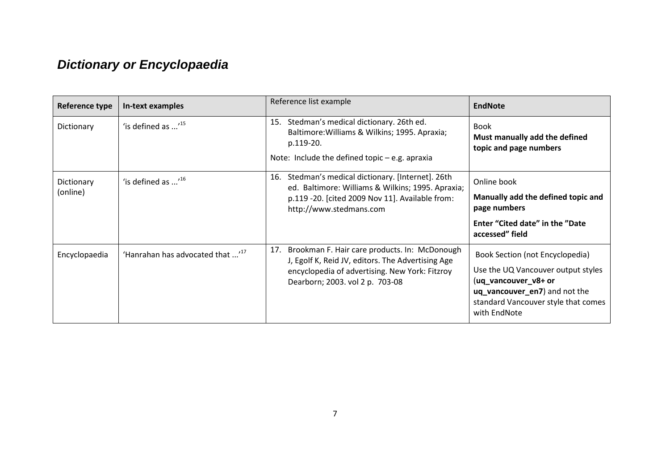## *Dictionary or Encyclopaedia*

<span id="page-6-0"></span>

| Reference type         | In-text examples                             | Reference list example                                                                                                                                                                         | <b>EndNote</b>                                                                                                                                                                        |
|------------------------|----------------------------------------------|------------------------------------------------------------------------------------------------------------------------------------------------------------------------------------------------|---------------------------------------------------------------------------------------------------------------------------------------------------------------------------------------|
| Dictionary             | 'is defined as $$ <sup>15</sup>              | Stedman's medical dictionary. 26th ed.<br>15.<br>Baltimore: Williams & Wilkins; 1995. Apraxia;<br>p.119-20.<br>Note: Include the defined topic $-e.g.$ apraxia                                 | <b>Book</b><br>Must manually add the defined<br>topic and page numbers                                                                                                                |
| Dictionary<br>(online) | 'is defined as $^{16}$                       | Stedman's medical dictionary. [Internet]. 26th<br>16.<br>ed. Baltimore: Williams & Wilkins; 1995. Apraxia;<br>p.119 -20. [cited 2009 Nov 11]. Available from:<br>http://www.stedmans.com       | Online book<br>Manually add the defined topic and<br>page numbers<br>Enter "Cited date" in the "Date                                                                                  |
|                        |                                              |                                                                                                                                                                                                | accessed" field                                                                                                                                                                       |
| Encyclopaedia          | 'Hanrahan has advocated that ' <sup>17</sup> | Brookman F. Hair care products. In: McDonough<br>17.<br>J, Egolf K, Reid JV, editors. The Advertising Age<br>encyclopedia of advertising. New York: Fitzroy<br>Dearborn; 2003. vol 2 p. 703-08 | Book Section (not Encyclopedia)<br>Use the UQ Vancouver output styles<br>(uq_vancouver_v8+ or<br>uq_vancouver_en7) and not the<br>standard Vancouver style that comes<br>with EndNote |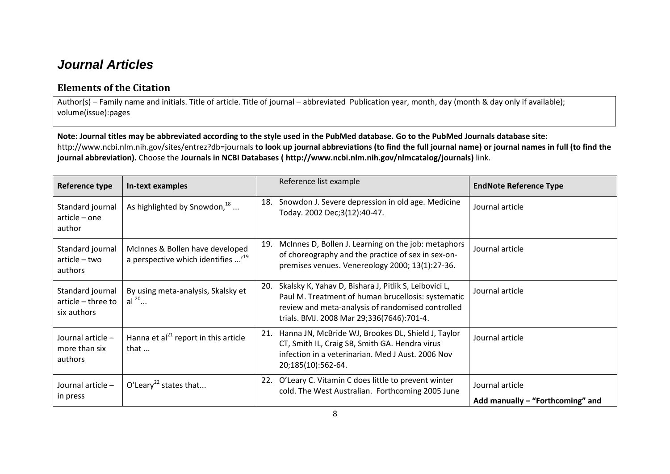### *Journal Articles*

### **Elements of the Citation**

Author(s) – Family name and initials. Title of article. Title of journal – abbreviated Publication year, month, day (month & day only if available); volume(issue):pages

#### **Note: Journal titles may be abbreviated according to the style used in the PubMed database. Go to the PubMed Journals database site:**

<http://www.ncbi.nlm.nih.gov/sites/entrez?db=journals> **to look up journal abbreviations (to find the full journal name) or journal names in full (to find the journal abbreviation).** Choose the **[Journals in NCBI Databases](http://www.ncbi.nlm.nih.gov/nlmcatalog/journals) ( [http://www.ncbi.nlm.nih.gov/nlmcatalog/journals\)](http://www.ncbi.nlm.nih.gov/nlmcatalog/journals)** link.

<span id="page-7-0"></span>

| Reference type                                        | In-text examples                                                                | Reference list example                                                                                                                                                                                               | <b>EndNote Reference Type</b>                       |
|-------------------------------------------------------|---------------------------------------------------------------------------------|----------------------------------------------------------------------------------------------------------------------------------------------------------------------------------------------------------------------|-----------------------------------------------------|
| Standard journal<br>article - one<br>author           | As highlighted by Snowdon, $18$                                                 | Snowdon J. Severe depression in old age. Medicine<br>18.<br>Today. 2002 Dec;3(12):40-47.                                                                                                                             | Journal article                                     |
| Standard journal<br>article - two<br>authors          | McInnes & Bollen have developed<br>a perspective which identifies <sup>19</sup> | McInnes D, Bollen J. Learning on the job: metaphors<br>19.<br>of choreography and the practice of sex in sex-on-<br>premises venues. Venereology 2000; 13(1):27-36.                                                  | Journal article                                     |
| Standard journal<br>article - three to<br>six authors | By using meta-analysis, Skalsky et<br>al $^{20}$                                | Skalsky K, Yahav D, Bishara J, Pitlik S, Leibovici L,<br>20.<br>Paul M. Treatment of human brucellosis: systematic<br>review and meta-analysis of randomised controlled<br>trials. BMJ. 2008 Mar 29;336(7646):701-4. | Journal article                                     |
| Journal article -<br>more than six<br>authors         | Hanna et al $^{21}$ report in this article<br>that $\dots$                      | Hanna JN, McBride WJ, Brookes DL, Shield J, Taylor<br>21.<br>CT, Smith IL, Craig SB, Smith GA. Hendra virus<br>infection in a veterinarian. Med J Aust. 2006 Nov<br>20;185(10):562-64.                               | Journal article                                     |
| Journal article -<br>in press                         | O'Leary <sup>22</sup> states that                                               | O'Leary C. Vitamin C does little to prevent winter<br>22.<br>cold. The West Australian. Forthcoming 2005 June                                                                                                        | Journal article<br>Add manually - "Forthcoming" and |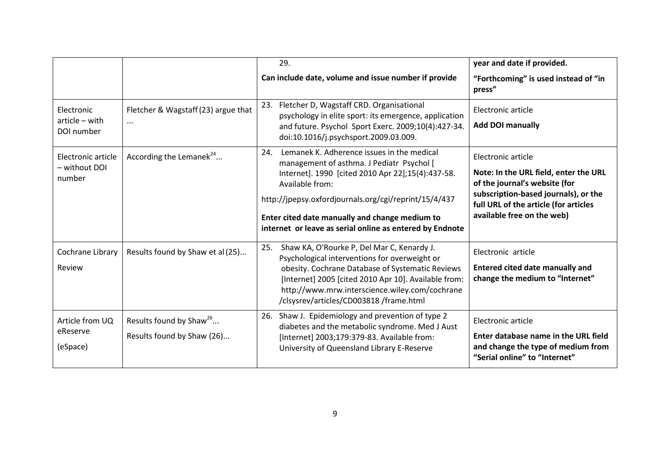|                                               |                                                                   | 29.                                                                                                                                                                                                                                                                                                                                           | year and date if provided.                                                                                                                                                                                  |
|-----------------------------------------------|-------------------------------------------------------------------|-----------------------------------------------------------------------------------------------------------------------------------------------------------------------------------------------------------------------------------------------------------------------------------------------------------------------------------------------|-------------------------------------------------------------------------------------------------------------------------------------------------------------------------------------------------------------|
|                                               |                                                                   | Can include date, volume and issue number if provide                                                                                                                                                                                                                                                                                          | "Forthcoming" is used instead of "in<br>press"                                                                                                                                                              |
| Electronic<br>article - with<br>DOI number    | Fletcher & Wagstaff (23) argue that<br>$\cdots$                   | 23. Fletcher D, Wagstaff CRD. Organisational<br>psychology in elite sport: its emergence, application<br>and future. Psychol Sport Exerc. 2009;10(4):427-34.<br>doi:10.1016/j.psychsport.2009.03.009.                                                                                                                                         | Electronic article<br><b>Add DOI manually</b>                                                                                                                                                               |
| Electronic article<br>- without DOI<br>number | According the Lemanek <sup>24</sup>                               | Lemanek K. Adherence issues in the medical<br>24.<br>management of asthma. J Pediatr Psychol [<br>Internet]. 1990 [cited 2010 Apr 22];15(4):437-58.<br>Available from:<br>http://jpepsy.oxfordjournals.org/cgi/reprint/15/4/437<br>Enter cited date manually and change medium to<br>internet or leave as serial online as entered by Endnote | Electronic article<br>Note: In the URL field, enter the URL<br>of the journal's website (for<br>subscription-based journals), or the<br>full URL of the article (for articles<br>available free on the web) |
| Cochrane Library<br>Review                    | Results found by Shaw et al (25)                                  | Shaw KA, O'Rourke P, Del Mar C, Kenardy J.<br>25.<br>Psychological interventions for overweight or<br>obesity. Cochrane Database of Systematic Reviews<br>[Internet] 2005 [cited 2010 Apr 10]. Available from:<br>http://www.mrw.interscience.wiley.com/cochrane<br>/clsysrev/articles/CD003818 /frame.html                                   | Electronic article<br><b>Entered cited date manually and</b><br>change the medium to "Internet"                                                                                                             |
| Article from UQ<br>eReserve<br>(eSpace)       | Results found by Shaw <sup>26</sup><br>Results found by Shaw (26) | Shaw J. Epidemiology and prevention of type 2<br>26.<br>diabetes and the metabolic syndrome. Med J Aust<br>[Internet] 2003;179:379-83. Available from:<br>University of Queensland Library E-Reserve                                                                                                                                          | Electronic article<br>Enter database name in the URL field<br>and change the type of medium from<br>"Serial online" to "Internet"                                                                           |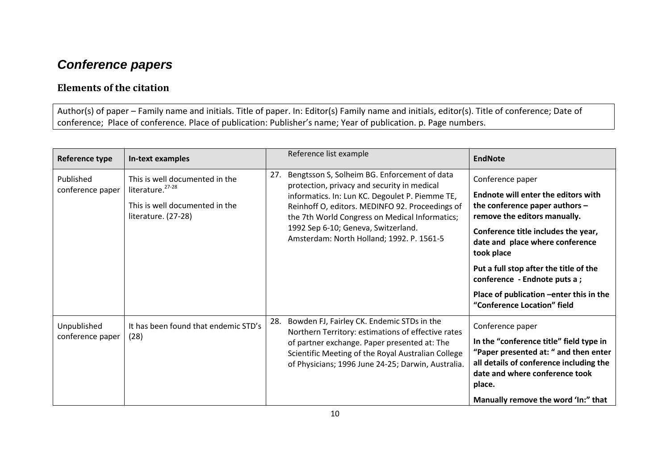## *Conference papers*

### **Elements of the citation**

Author(s) of paper – Family name and initials. Title of paper. In: Editor(s) Family name and initials, editor(s). Title of conference; Date of conference; Place of conference. Place of publication: Publisher's name; Year of publication. p. Page numbers.

<span id="page-9-0"></span>

| Reference type                  | In-text examples                                                                                                        |     | Reference list example                                                                                                                                                                                                                                                                                                                  | <b>EndNote</b>                                                                                                                                                                                                                                                                                                                                                                  |
|---------------------------------|-------------------------------------------------------------------------------------------------------------------------|-----|-----------------------------------------------------------------------------------------------------------------------------------------------------------------------------------------------------------------------------------------------------------------------------------------------------------------------------------------|---------------------------------------------------------------------------------------------------------------------------------------------------------------------------------------------------------------------------------------------------------------------------------------------------------------------------------------------------------------------------------|
| Published<br>conference paper   | This is well documented in the<br>literature. <sup>27-28</sup><br>This is well documented in the<br>literature. (27-28) | 27. | Bengtsson S, Solheim BG. Enforcement of data<br>protection, privacy and security in medical<br>informatics. In: Lun KC. Degoulet P. Piemme TE,<br>Reinhoff O, editors. MEDINFO 92. Proceedings of<br>the 7th World Congress on Medical Informatics;<br>1992 Sep 6-10; Geneva, Switzerland.<br>Amsterdam: North Holland; 1992. P. 1561-5 | Conference paper<br><b>Endnote will enter the editors with</b><br>the conference paper authors $-$<br>remove the editors manually.<br>Conference title includes the year,<br>date and place where conference<br>took place<br>Put a full stop after the title of the<br>conference - Endnote puts a ;<br>Place of publication -enter this in the<br>"Conference Location" field |
| Unpublished<br>conference paper | It has been found that endemic STD's<br>(28)                                                                            | 28. | Bowden FJ, Fairley CK. Endemic STDs in the<br>Northern Territory: estimations of effective rates<br>of partner exchange. Paper presented at: The<br>Scientific Meeting of the Royal Australian College<br>of Physicians; 1996 June 24-25; Darwin, Australia.                                                                            | Conference paper<br>In the "conference title" field type in<br>"Paper presented at: " and then enter<br>all details of conference including the<br>date and where conference took<br>place.<br>Manually remove the word 'In:" that                                                                                                                                              |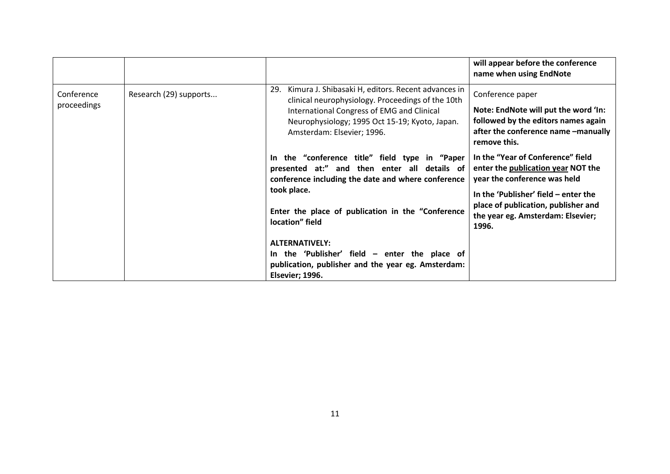|                           |                        |                                                                                                                                                                                                                                              | will appear before the conference<br>name when using EndNote                                                                                                                                                                         |
|---------------------------|------------------------|----------------------------------------------------------------------------------------------------------------------------------------------------------------------------------------------------------------------------------------------|--------------------------------------------------------------------------------------------------------------------------------------------------------------------------------------------------------------------------------------|
| Conference<br>proceedings | Research (29) supports | 29.<br>Kimura J. Shibasaki H, editors. Recent advances in<br>clinical neurophysiology. Proceedings of the 10th<br>International Congress of EMG and Clinical<br>Neurophysiology; 1995 Oct 15-19; Kyoto, Japan.<br>Amsterdam: Elsevier; 1996. | Conference paper<br>Note: EndNote will put the word 'In:<br>followed by the editors names again<br>after the conference name -manually<br>remove this.                                                                               |
|                           |                        | In the "conference title" field type in "Paper<br>presented at:" and then enter all details of<br>conference including the date and where conference<br>took place.<br>Enter the place of publication in the "Conference<br>location" field  | In the "Year of Conference" field<br>enter the publication year NOT the<br>year the conference was held<br>In the 'Publisher' field – enter the<br>place of publication, publisher and<br>the year eg. Amsterdam: Elsevier;<br>1996. |
|                           |                        | <b>ALTERNATIVELY:</b><br>In the 'Publisher' field $-$ enter the place of<br>publication, publisher and the year eg. Amsterdam:<br>Elsevier; 1996.                                                                                            |                                                                                                                                                                                                                                      |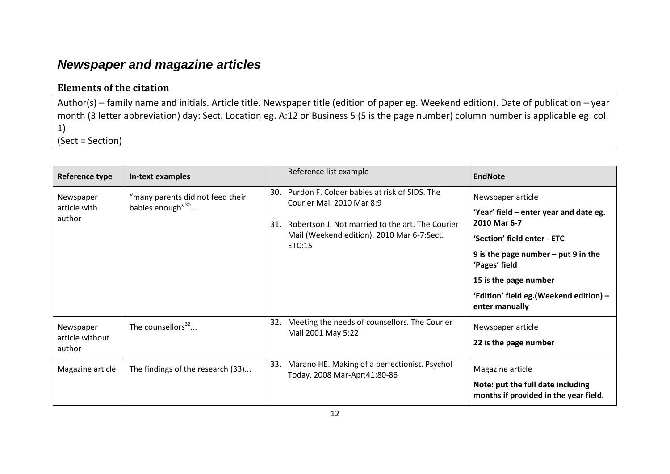## *Newspaper and magazine articles*

### **Elements of the citation**

Author(s) – family name and initials. Article title. Newspaper title (edition of paper eg. Weekend edition). Date of publication – year month (3 letter abbreviation) day: Sect. Location eg. A:12 or Business 5 (5 is the page number) column number is applicable eg. col. 1) (Sect = Section)

<span id="page-11-0"></span>

| Reference type                         | In-text examples                                                 | Reference list example                                                                                                                                                                              | <b>EndNote</b>                                                                                                                                                                                                                                             |
|----------------------------------------|------------------------------------------------------------------|-----------------------------------------------------------------------------------------------------------------------------------------------------------------------------------------------------|------------------------------------------------------------------------------------------------------------------------------------------------------------------------------------------------------------------------------------------------------------|
| Newspaper<br>article with<br>author    | "many parents did not feed their<br>babies enough" <sup>30</sup> | Purdon F. Colder babies at risk of SIDS. The<br>30.<br>Courier Mail 2010 Mar 8:9<br>Robertson J. Not married to the art. The Courier<br>31.<br>Mail (Weekend edition). 2010 Mar 6-7:Sect.<br>ETC:15 | Newspaper article<br>'Year' field – enter year and date eg.<br>2010 Mar 6-7<br>'Section' field enter - ETC<br>9 is the page number $-$ put 9 in the<br>'Pages' field<br>15 is the page number<br>'Edition' field eg. (Weekend edition) -<br>enter manually |
| Newspaper<br>article without<br>author | The counsellors <sup>32</sup>                                    | 32.<br>Meeting the needs of counsellors. The Courier<br>Mail 2001 May 5:22                                                                                                                          | Newspaper article<br>22 is the page number                                                                                                                                                                                                                 |
| Magazine article                       | The findings of the research (33)                                | Marano HE. Making of a perfectionist. Psychol<br>33.<br>Today. 2008 Mar-Apr;41:80-86                                                                                                                | Magazine article<br>Note: put the full date including<br>months if provided in the year field.                                                                                                                                                             |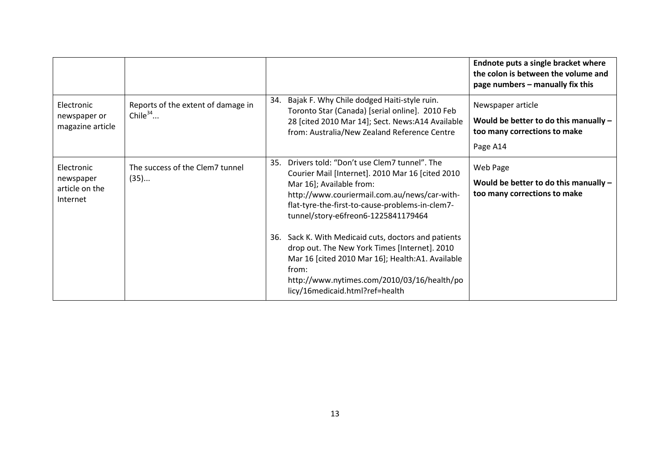|                                                       |                                                  |     |                                                                                                                                                                                                                                                                       | Endnote puts a single bracket where<br>the colon is between the volume and<br>page numbers - manually fix this |
|-------------------------------------------------------|--------------------------------------------------|-----|-----------------------------------------------------------------------------------------------------------------------------------------------------------------------------------------------------------------------------------------------------------------------|----------------------------------------------------------------------------------------------------------------|
| Electronic<br>newspaper or<br>magazine article        | Reports of the extent of damage in<br>Chile $34$ |     | 34. Bajak F. Why Chile dodged Haiti-style ruin.<br>Toronto Star (Canada) [serial online]. 2010 Feb<br>28 [cited 2010 Mar 14]; Sect. News:A14 Available<br>from: Australia/New Zealand Reference Centre                                                                | Newspaper article<br>Would be better to do this manually -<br>too many corrections to make<br>Page A14         |
| Electronic<br>newspaper<br>article on the<br>Internet | The success of the Clem7 tunnel<br>(35)          | 35. | Drivers told: "Don't use Clem7 tunnel". The<br>Courier Mail [Internet]. 2010 Mar 16 [cited 2010<br>Mar 16]; Available from:<br>http://www.couriermail.com.au/news/car-with-<br>flat-tyre-the-first-to-cause-problems-in-clem7-<br>tunnel/story-e6freon6-1225841179464 | Web Page<br>Would be better to do this manually -<br>too many corrections to make                              |
|                                                       |                                                  |     | 36. Sack K. With Medicaid cuts, doctors and patients<br>drop out. The New York Times [Internet]. 2010<br>Mar 16 [cited 2010 Mar 16]; Health:A1. Available<br>from:<br>http://www.nytimes.com/2010/03/16/health/po<br>licy/16medicaid.html?ref=health                  |                                                                                                                |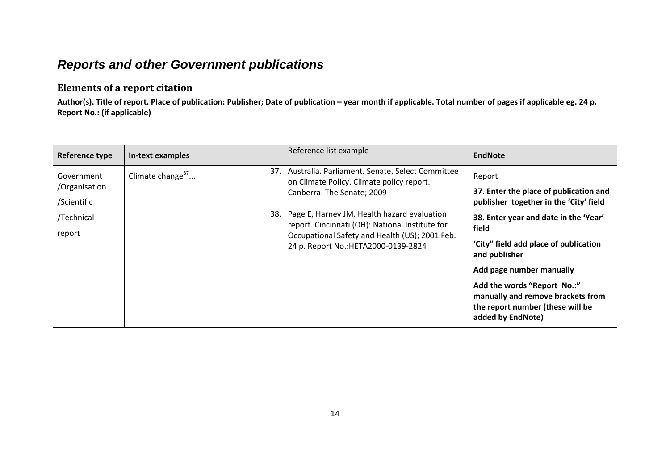### *Reports and other Government publications*

### **Elements of a report citation**

Author(s). Title of report. Place of publication: Publisher; Date of publication – year month if applicable. Total number of pages if applicable eg. 24 p. **Report No.: (if applicable)**

<span id="page-13-0"></span>

| Reference type              | In-text examples    | Reference list example                                                                                | <b>EndNote</b>                                                                                                            |
|-----------------------------|---------------------|-------------------------------------------------------------------------------------------------------|---------------------------------------------------------------------------------------------------------------------------|
| Government<br>/Organisation | Climate change $37$ | Australia. Parliament. Senate. Select Committee<br>37.<br>on Climate Policy. Climate policy report.   | Report                                                                                                                    |
| /Scientific                 |                     | Canberra: The Senate; 2009                                                                            | 37. Enter the place of publication and<br>publisher together in the 'City' field                                          |
| /Technical                  |                     | Page E, Harney JM. Health hazard evaluation<br>38.<br>report. Cincinnati (OH): National Institute for | 38. Enter year and date in the 'Year'<br>field                                                                            |
| report                      |                     | Occupational Safety and Health (US); 2001 Feb.<br>24 p. Report No.: HETA2000-0139-2824                | 'City" field add place of publication<br>and publisher                                                                    |
|                             |                     |                                                                                                       | Add page number manually                                                                                                  |
|                             |                     |                                                                                                       | Add the words "Report No.:"<br>manually and remove brackets from<br>the report number (these will be<br>added by EndNote) |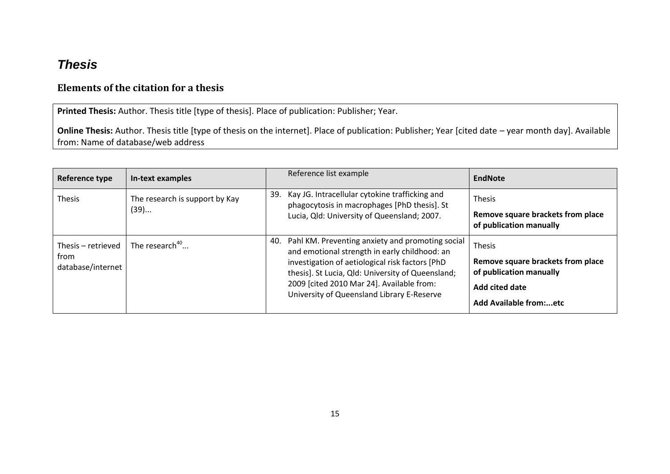## *Thesis*

### **Elements of the citation for a thesis**

**Printed Thesis:** Author. Thesis title [type of thesis]. Place of publication: Publisher; Year.

**Online Thesis:** Author. Thesis title [type of thesis on the internet]. Place of publication: Publisher; Year [cited date – year month day]. Available from: Name of database/web address

<span id="page-14-0"></span>

| Reference type                                  | In-text examples                       | Reference list example                                                                                                                                                                                                                                                                                      | <b>EndNote</b>                                                                                                            |
|-------------------------------------------------|----------------------------------------|-------------------------------------------------------------------------------------------------------------------------------------------------------------------------------------------------------------------------------------------------------------------------------------------------------------|---------------------------------------------------------------------------------------------------------------------------|
| <b>Thesis</b>                                   | The research is support by Kay<br>(39) | Kay JG. Intracellular cytokine trafficking and<br>39.<br>phagocytosis in macrophages [PhD thesis]. St<br>Lucia, Qld: University of Queensland; 2007.                                                                                                                                                        | Thesis<br>Remove square brackets from place<br>of publication manually                                                    |
| Thesis – retrieved<br>from<br>database/internet | The research <sup>40</sup>             | Pahl KM. Preventing anxiety and promoting social<br>40.<br>and emotional strength in early childhood: an<br>investigation of aetiological risk factors [PhD<br>thesis]. St Lucia, Qld: University of Queensland;<br>2009 [cited 2010 Mar 24]. Available from:<br>University of Queensland Library E-Reserve | Thesis<br>Remove square brackets from place<br>of publication manually<br><b>Add cited date</b><br>Add Available from:etc |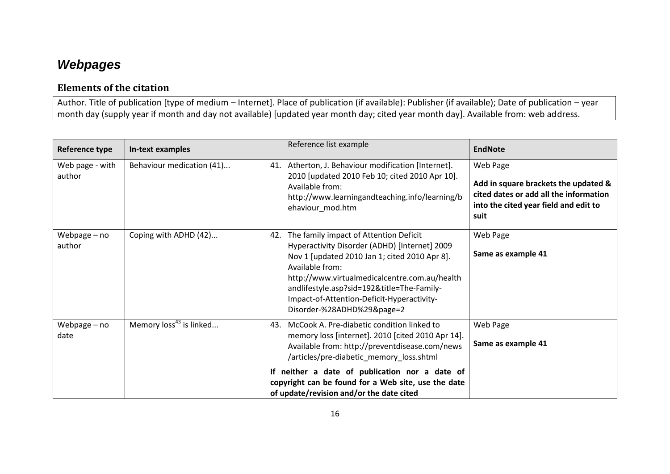## *Webpages*

### **Elements of the citation**

Author. Title of publication [type of medium – Internet]. Place of publication (if available): Publisher (if available); Date of publication – year month day (supply year if month and day not available) [updated year month day; cited year month day]. Available from: web address.

<span id="page-15-0"></span>

| Reference type            | In-text examples                    | Reference list example                                                                                                                                                                                                                                                                                                                                    | <b>EndNote</b>                                                                                                                              |
|---------------------------|-------------------------------------|-----------------------------------------------------------------------------------------------------------------------------------------------------------------------------------------------------------------------------------------------------------------------------------------------------------------------------------------------------------|---------------------------------------------------------------------------------------------------------------------------------------------|
| Web page - with<br>author | Behaviour medication (41)           | Atherton, J. Behaviour modification [Internet].<br>41.<br>2010 [updated 2010 Feb 10; cited 2010 Apr 10].<br>Available from:<br>http://www.learningandteaching.info/learning/b<br>ehaviour_mod.htm                                                                                                                                                         | Web Page<br>Add in square brackets the updated &<br>cited dates or add all the information<br>into the cited year field and edit to<br>suit |
| Webpage - no<br>author    | Coping with ADHD (42)               | The family impact of Attention Deficit<br>42.<br>Hyperactivity Disorder (ADHD) [Internet] 2009<br>Nov 1 [updated 2010 Jan 1; cited 2010 Apr 8].<br>Available from:<br>http://www.virtualmedicalcentre.com.au/health<br>andlifestyle.asp?sid=192&title=The-Family-<br>Impact-of-Attention-Deficit-Hyperactivity-<br>Disorder-%28ADHD%29&page=2             | Web Page<br>Same as example 41                                                                                                              |
| Webpage - no<br>date      | Memory loss <sup>43</sup> is linked | McCook A. Pre-diabetic condition linked to<br>43.<br>memory loss [internet]. 2010 [cited 2010 Apr 14].<br>Available from: http://preventdisease.com/news<br>/articles/pre-diabetic memory loss.shtml<br>If neither a date of publication nor a date of<br>copyright can be found for a Web site, use the date<br>of update/revision and/or the date cited | Web Page<br>Same as example 41                                                                                                              |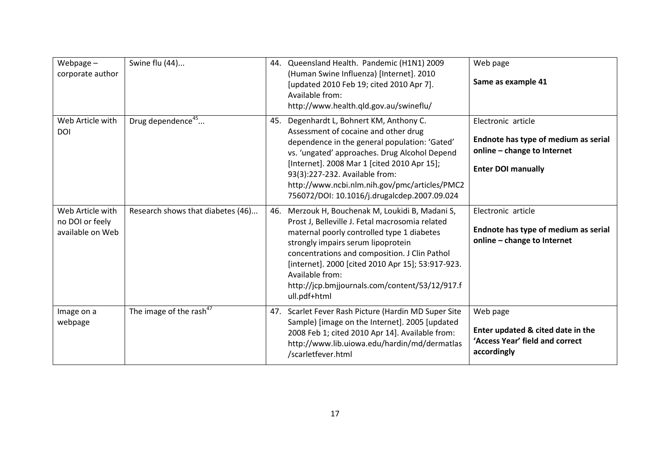| Webpage $-$<br>corporate author                         | Swine flu (44)                      |     | 44. Queensland Health. Pandemic (H1N1) 2009<br>(Human Swine Influenza) [Internet]. 2010<br>[updated 2010 Feb 19; cited 2010 Apr 7].<br>Available from:<br>http://www.health.qld.gov.au/swineflu/                                                                                                                                                                               | Web page<br>Same as example 41                                                                                         |
|---------------------------------------------------------|-------------------------------------|-----|--------------------------------------------------------------------------------------------------------------------------------------------------------------------------------------------------------------------------------------------------------------------------------------------------------------------------------------------------------------------------------|------------------------------------------------------------------------------------------------------------------------|
| Web Article with<br>DOI                                 | Drug dependence <sup>45</sup>       |     | 45. Degenhardt L, Bohnert KM, Anthony C.<br>Assessment of cocaine and other drug<br>dependence in the general population: 'Gated'<br>vs. 'ungated' approaches. Drug Alcohol Depend<br>[Internet]. 2008 Mar 1 [cited 2010 Apr 15];<br>93(3):227-232. Available from:<br>http://www.ncbi.nlm.nih.gov/pmc/articles/PMC2<br>756072/DOI: 10.1016/j.drugalcdep.2007.09.024           | Electronic article<br>Endnote has type of medium as serial<br>online - change to Internet<br><b>Enter DOI manually</b> |
| Web Article with<br>no DOI or feely<br>available on Web | Research shows that diabetes (46)   | 46. | Merzouk H, Bouchenak M, Loukidi B, Madani S,<br>Prost J, Belleville J. Fetal macrosomia related<br>maternal poorly controlled type 1 diabetes<br>strongly impairs serum lipoprotein<br>concentrations and composition. J Clin Pathol<br>[internet]. 2000 [cited 2010 Apr 15]; 53:917-923.<br>Available from:<br>http://jcp.bmjjournals.com/content/53/12/917.f<br>ull.pdf+html | Electronic article<br>Endnote has type of medium as serial<br>online - change to Internet                              |
| Image on a<br>webpage                                   | The image of the rash <sup>47</sup> |     | 47. Scarlet Fever Rash Picture (Hardin MD Super Site<br>Sample) [image on the Internet]. 2005 [updated<br>2008 Feb 1; cited 2010 Apr 14]. Available from:<br>http://www.lib.uiowa.edu/hardin/md/dermatlas<br>/scarletfever.html                                                                                                                                                | Web page<br>Enter updated & cited date in the<br>'Access Year' field and correct<br>accordingly                        |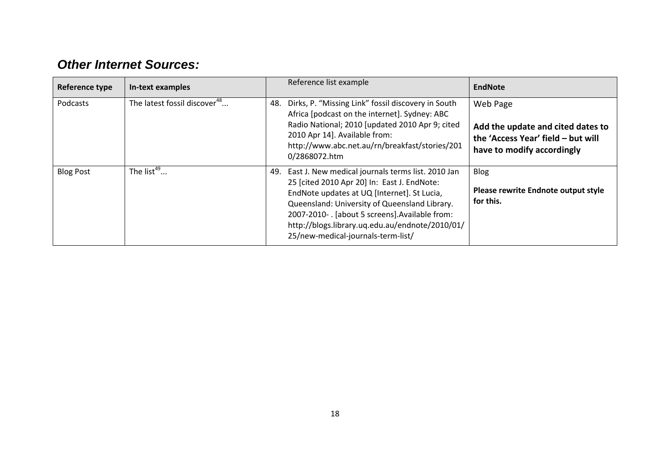## *Other Internet Sources:*

<span id="page-17-0"></span>

| Reference type   | In-text examples                         | Reference list example                                                                                                                                                                                                                                                                                                                          | <b>EndNote</b>                                                                                                    |
|------------------|------------------------------------------|-------------------------------------------------------------------------------------------------------------------------------------------------------------------------------------------------------------------------------------------------------------------------------------------------------------------------------------------------|-------------------------------------------------------------------------------------------------------------------|
| Podcasts         | The latest fossil discover <sup>48</sup> | Dirks, P. "Missing Link" fossil discovery in South<br>48.<br>Africa [podcast on the internet]. Sydney: ABC<br>Radio National; 2010 [updated 2010 Apr 9; cited<br>2010 Apr 14]. Available from:<br>http://www.abc.net.au/rn/breakfast/stories/201<br>0/2868072.htm                                                                               | Web Page<br>Add the update and cited dates to<br>the 'Access Year' field - but will<br>have to modify accordingly |
| <b>Blog Post</b> | The list <sup>49</sup>                   | 49. East J. New medical journals terms list. 2010 Jan<br>25 [cited 2010 Apr 20] In: East J. EndNote:<br>EndNote updates at UQ [Internet]. St Lucia,<br>Queensland: University of Queensland Library.<br>2007-2010-. [about 5 screens]. Available from:<br>http://blogs.library.uq.edu.au/endnote/2010/01/<br>25/new-medical-journals-term-list/ | <b>Blog</b><br>Please rewrite Endnote output style<br>for this.                                                   |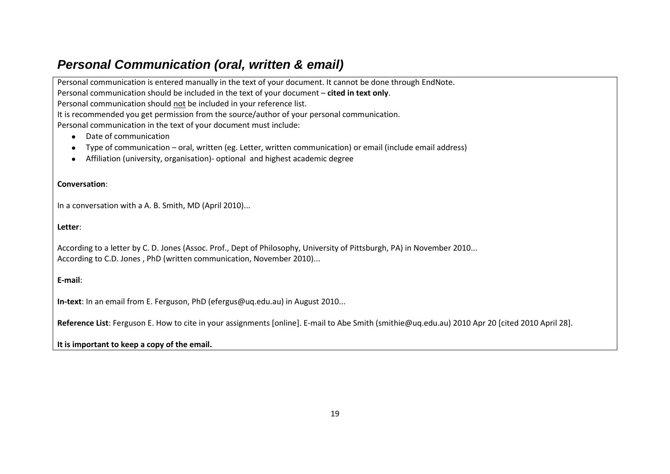### *Personal Communication (oral, written & email)*

Personal communication is entered manually in the text of your document. It cannot be done through EndNote. Personal communication should be included in the text of your document – **cited in text only**. Personal communication should not be included in your reference list. It is recommended you get permission from the source/author of your personal communication. Personal communication in the text of your document must include:

- Date of communication
- Type of communication oral, written (eg. Letter, written communication) or email (include email address)  $\bullet$
- Affiliation (university, organisation)- optional and highest academic degree  $\bullet$

#### **Conversation**:

In a conversation with a A. B. Smith, MD (April 2010)...

**Letter**:

<span id="page-18-0"></span>According to a letter by C. D. Jones (Assoc. Prof., Dept of Philosophy, University of Pittsburgh, PA) in November 2010... According to C.D. Jones , PhD (written communication, November 2010)...

#### **E-mail**:

**In-text**: In an email from E. Ferguson, PhD [\(efergus@uq.edu.au\)](mailto:efergus@uq.edu.au) in August 2010...

**Reference List**: Ferguson E. How to cite in your assignments [online]. E-mail to Abe Smith [\(smithie@uq.edu.au\)](mailto:smithie@uq.edu.au) 2010 Apr 20 [cited 2010 April 28].

#### **It is important to keep a copy of the email.**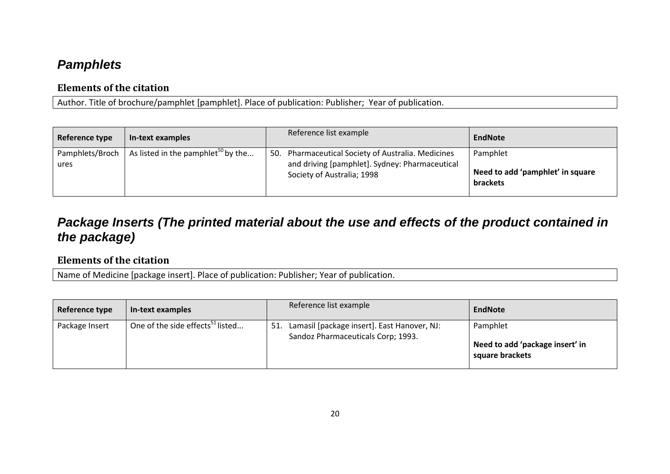### *Pamphlets*

### **Elements of the citation**

Author. Title of brochure/pamphlet [pamphlet]. Place of publication: Publisher; Year of publication.

| Reference type          | In-text examples                               | Reference list example                                                                                                             | EndNote                                                  |
|-------------------------|------------------------------------------------|------------------------------------------------------------------------------------------------------------------------------------|----------------------------------------------------------|
| Pamphlets/Broch<br>ures | As listed in the pamphlet <sup>50</sup> by the | 50. Pharmaceutical Society of Australia. Medicines<br>and driving [pamphlet]. Sydney: Pharmaceutical<br>Society of Australia; 1998 | Pamphlet<br>Need to add 'pamphlet' in square<br>brackets |

## *Package Inserts (The printed material about the use and effects of the product contained in the package)*

### <span id="page-19-0"></span>**Elements of the citation**

Name of Medicine [package insert]. Place of publication: Publisher; Year of publication.

<span id="page-19-1"></span>

| Reference type | In-text examples                             | Reference list example                                                                   | EndNote                                                        |
|----------------|----------------------------------------------|------------------------------------------------------------------------------------------|----------------------------------------------------------------|
| Package Insert | One of the side effects <sup>51</sup> listed | Lamasil [package insert]. East Hanover, NJ:<br>51.<br>Sandoz Pharmaceuticals Corp; 1993. | Pamphlet<br>Need to add 'package insert' in<br>square brackets |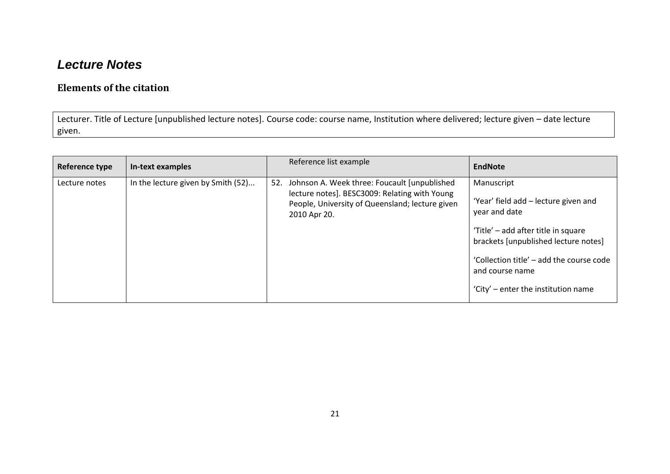### *Lecture Notes*

### **Elements of the citation**

Lecturer. Title of Lecture [unpublished lecture notes]. Course code: course name, Institution where delivered; lecture given – date lecture given.

<span id="page-20-0"></span>

| Reference type | In-text examples                   | Reference list example                                                                                                                                                | <b>EndNote</b>                                                                                                                                                                                                                                           |
|----------------|------------------------------------|-----------------------------------------------------------------------------------------------------------------------------------------------------------------------|----------------------------------------------------------------------------------------------------------------------------------------------------------------------------------------------------------------------------------------------------------|
| Lecture notes  | In the lecture given by Smith (52) | 52. Johnson A. Week three: Foucault [unpublished]<br>lecture notes]. BESC3009: Relating with Young<br>People, University of Queensland; lecture given<br>2010 Apr 20. | Manuscript<br>'Year' field add - lecture given and<br>year and date<br>'Title' - add after title in square<br>brackets [unpublished lecture notes]<br>'Collection title' – add the course code<br>and course name<br>'City' – enter the institution name |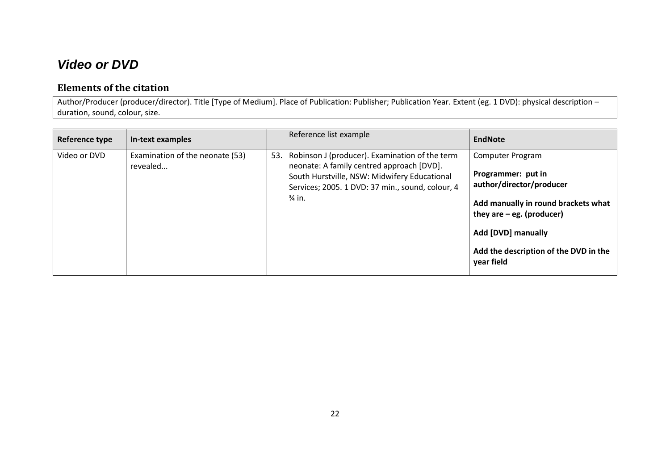### *Video or DVD*

### **Elements of the citation**

Author/Producer (producer/director). Title [Type of Medium]. Place of Publication: Publisher; Publication Year. Extent (eg. 1 DVD): physical description – duration, sound, colour, size.

<span id="page-21-0"></span>

| Reference type | In-text examples                            | Reference list example                                                                                                                                                                                         | <b>EndNote</b>                                                                                                                                                                                                        |
|----------------|---------------------------------------------|----------------------------------------------------------------------------------------------------------------------------------------------------------------------------------------------------------------|-----------------------------------------------------------------------------------------------------------------------------------------------------------------------------------------------------------------------|
| Video or DVD   | Examination of the neonate (53)<br>revealed | 53. Robinson J (producer). Examination of the term<br>neonate: A family centred approach [DVD].<br>South Hurstville, NSW: Midwifery Educational<br>Services; 2005. 1 DVD: 37 min., sound, colour, 4<br>3⁄4 in. | Computer Program<br>Programmer: put in<br>author/director/producer<br>Add manually in round brackets what<br>they are $-$ eg. (producer)<br>Add [DVD] manually<br>Add the description of the DVD in the<br>year field |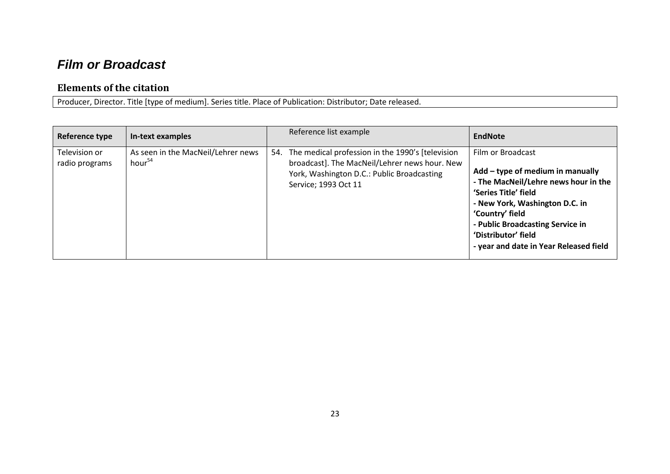## *Film or Broadcast*

#### **Elements of the citation**

Producer, Director. Title [type of medium]. Series title. Place of Publication: Distributor; Date released.

<span id="page-22-0"></span>

| Reference type                  | In-text examples                                         | Reference list example                                                                                                                                                       | <b>EndNote</b>                                                                                                                                                                                                                                                                  |
|---------------------------------|----------------------------------------------------------|------------------------------------------------------------------------------------------------------------------------------------------------------------------------------|---------------------------------------------------------------------------------------------------------------------------------------------------------------------------------------------------------------------------------------------------------------------------------|
| Television or<br>radio programs | As seen in the MacNeil/Lehrer news<br>hour <sup>54</sup> | 54. The medical profession in the 1990's [television]<br>broadcast]. The MacNeil/Lehrer news hour. New<br>York, Washington D.C.: Public Broadcasting<br>Service; 1993 Oct 11 | Film or Broadcast<br>Add - type of medium in manually<br>- The MacNeil/Lehre news hour in the<br>'Series Title' field<br>- New York, Washington D.C. in<br>'Country' field<br>- Public Broadcasting Service in<br>'Distributor' field<br>- year and date in Year Released field |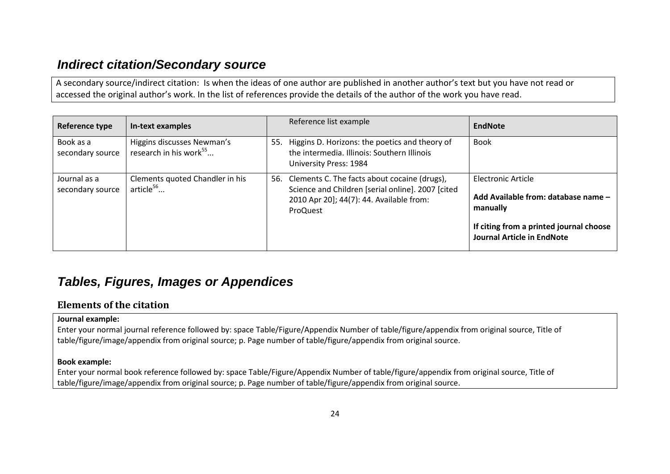### *Indirect citation/Secondary source*

A secondary source/indirect citation: Is when the ideas of one author are published in another author's text but you have not read or accessed the original author's work. In the list of references provide the details of the author of the work you have read.

| Reference type                   | In-text examples                                                 | Reference list example                                                                                                                                        | EndNote                                                                                                                                               |
|----------------------------------|------------------------------------------------------------------|---------------------------------------------------------------------------------------------------------------------------------------------------------------|-------------------------------------------------------------------------------------------------------------------------------------------------------|
| Book as a<br>secondary source    | Higgins discusses Newman's<br>research in his work <sup>55</sup> | 55. Higgins D. Horizons: the poetics and theory of<br>the intermedia. Illinois: Southern Illinois<br>University Press: 1984                                   | <b>Book</b>                                                                                                                                           |
| Journal as a<br>secondary source | Clements quoted Chandler in his<br>article <sup>56</sup>         | 56. Clements C. The facts about cocaine (drugs),<br>Science and Children [serial online]. 2007 [cited<br>2010 Apr 20]; 44(7): 44. Available from:<br>ProQuest | Electronic Article<br>Add Available from: database name -<br>manually<br>If citing from a printed journal choose<br><b>Journal Article in EndNote</b> |

## <span id="page-23-0"></span>*Tables, Figures, Images or Appendices*

#### **Elements of the citation**

#### **Journal example:**

Enter your normal journal reference followed by: space Table/Figure/Appendix Number of table/figure/appendix from original source, Title of table/figure/image/appendix from original source; p. Page number of table/figure/appendix from original source.

#### **Book example:**

<span id="page-23-1"></span>Enter your normal book reference followed by: space Table/Figure/Appendix Number of table/figure/appendix from original source, Title of table/figure/image/appendix from original source; p. Page number of table/figure/appendix from original source.